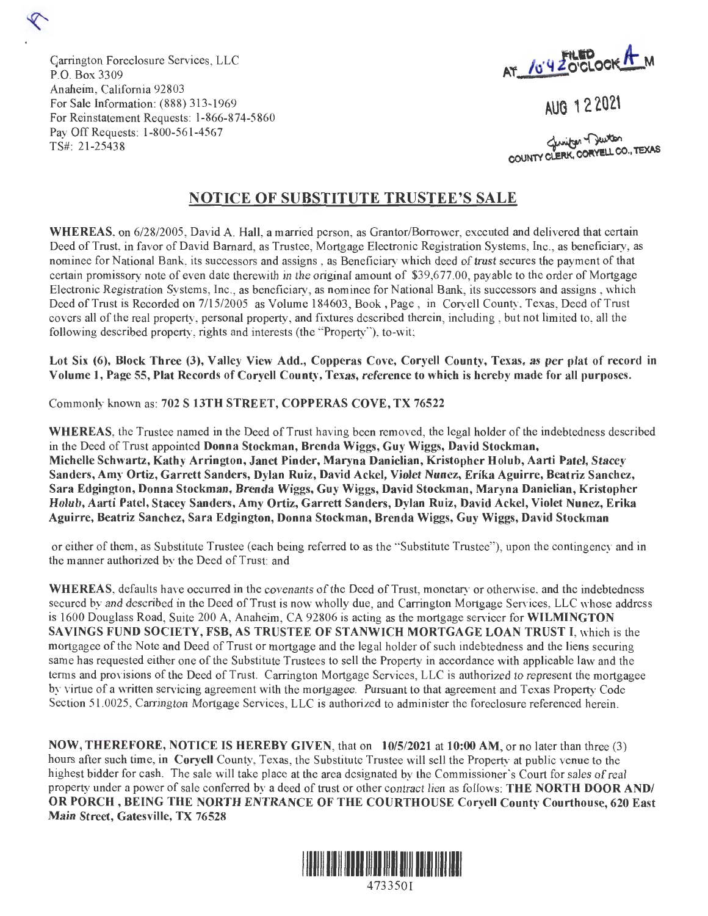

AUG 12 2021

Genrifon Denton COUNTY CLERK, CORYELL CO., TEXAS

## **NOTICE OF SUBSTITUTE TRUSTEE'S SALE**

**WHEREAS,** on 6/28/2005 , David A. Hall, a married person, as Grantor/Borrower, executed and delivered that certain Deed of Trust, in favor of David Barnard, as Trustee, Mortgage Electronic Registration Systems, Inc., as beneficiary, as nominee for National Bank, its successors and assigns , as Beneficiary which deed of trust secures the payment of that certain promissory note of even date therewith in the original amount of \$39,677.00, payable to the order of Mortgage Electronic Registration Systems, Inc., as beneficiary, as nominee for National Bank, its successors and assigns , which Deed of Trust is Recorded on 7/15/2005 as Volume 184603, Book, Page , in Coryell County, Texas, Deed of Trust covers all of the real property, personal property, and fixtures described therein, including , but not limited to, all the following described property, rights and interests (the "Property"), to-wit;

**Lot Six (6), Block Three (3), Valley View Add., Copperas Cove, Coryell County, Texas, as per plat of record in Volume 1, Page 55, Plat Records of Coryell County, Texas, reference to which is hereby made for all purposes.** 

Commonly known as: **702 S 13TH STREET, COPPERAS COVE, TX 76522** 

Garrington Foreclosure Services, LLC

For Sale Information: (888) 313-1969

Pay Off Requests: 1-800-561-4567

For Reinstatement Requests: 1-866-874-5 860

Anaheim, California 92803

P.O. Box 3309

TS#: 21-25438

**WHEREAS,** the Trustee named in the Deed of Trust having been removed, the legal holder of the indebtedness described in the Deed of Trust appointed **Donna Stockman, Brenda Wiggs, Guy Wiggs, David Stockman, Michelle Schwartz, Kathy Arrington, Janet Pinder, Maryna Danielian, Kristopher Holub, Aarti Patel, Stacey Sanders, Amy Ortiz, Garrett Sanders, Dylan Ruiz, David Ackel, Violet Nunez, Erika Aguirre, Beatriz Sanchez, Sara Edgington, Donna Stockman, Brenda Wiggs, Guy Wiggs, David Stockman, Maryna Danielian, Kristopher Holub, Aarti Patel, Stacey Sanders, Amy Ortiz, Garrett Sanders, Dylan Ruiz, David Ackel, Violet Nunez, Erika Aguirre, Beatriz Sanchez, Sara Edgington, Donna Stockman, Brenda Wiggs, Guy Wiggs, David Stockman** 

or either of them, as Substitute Trustee (each being referred to as the "Substitute Trustee"), upon the contingency and in the manner authorized by the Deed of Trust: and

**WHEREAS,** defaults have occurred in the covenants of the Deed of Trust, monetary or otherwise, and the indebtedness secured by and described in the Deed of Trust is now wholly due, and Carrington Mortgage Services, LLC whose address is 1600 Douglass Road, Suite 200 A, Anaheim, CA 92806 is acting as the mortgage servicer for **WILMINGTON SAVINGS FUND SOCIETY, FSB, AS TRUSTEE OF STANWICH MORTGAGE LOAN TRUST** I, which is the mortgagee of the Note and Deed of Trust or mortgage and the legal holder of such indebtedness and the liens securing same has requested either one of the Substitute Trustees to sell the Property in accordance with applicable law and the terms and provisions of the Deed of Tmst. Carrington Mortgage Services, LLC is authorized to represent the mortgagee by virtue of a written servicing agreement with the mortgagee. Pursuant to that agreement and Texas Property Code Section 51.0025, Carrington Mortgage Services, LLC is authorized to administer the foreclosure referenced herein.

**NOW, THEREFORE, NOTICE IS HEREBY GIVEN,** that on **10/5/2021** at **10:00 AM,** or no later than three (3) hours after such time, in **Coryell** County, Texas, the Substitute Trustee will sell the Property at public venue to the highest bidder for cash. The sale will take place at the area designated by the Commissioner's Court for sales of real property under a power of sale conferred by a deed of trust or other contract lien as follows: **THE NORTH DOOR AND/ OR PORCH, BEING THE NORTH ENTRANCE OF THE COURTHOUSE Coryell County Courthouse, 620 East Main Street, Gatesville, TX 76528** 



4733501